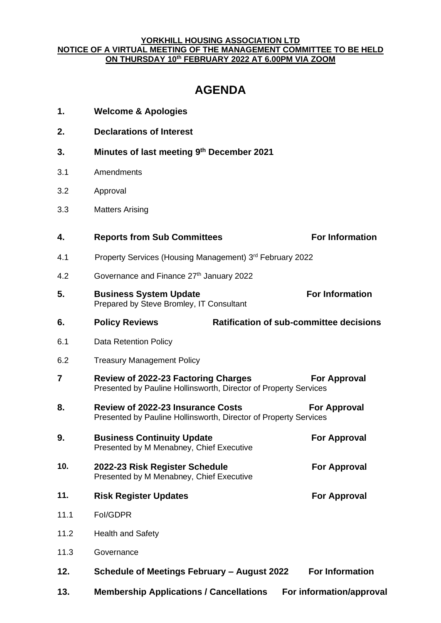## **YORKHILL HOUSING ASSOCIATION LTD NOTICE OF A VIRTUAL MEETING OF THE MANAGEMENT COMMITTEE TO BE HELD ON THURSDAY 10 th FEBRUARY 2022 AT 6.00PM VIA ZOOM**

## **AGENDA**

| 1.   | <b>Welcome &amp; Apologies</b>                                                                                                      |                        |
|------|-------------------------------------------------------------------------------------------------------------------------------------|------------------------|
| 2.   | <b>Declarations of Interest</b>                                                                                                     |                        |
| 3.   | Minutes of last meeting 9th December 2021                                                                                           |                        |
| 3.1  | Amendments                                                                                                                          |                        |
| 3.2  | Approval                                                                                                                            |                        |
| 3.3  | <b>Matters Arising</b>                                                                                                              |                        |
| 4.   | <b>Reports from Sub Committees</b>                                                                                                  | <b>For Information</b> |
| 4.1  | Property Services (Housing Management) 3rd February 2022                                                                            |                        |
| 4.2  | Governance and Finance 27th January 2022                                                                                            |                        |
| 5.   | <b>Business System Update</b><br>Prepared by Steve Bromley, IT Consultant                                                           | <b>For Information</b> |
| 6.   | <b>Ratification of sub-committee decisions</b><br><b>Policy Reviews</b>                                                             |                        |
| 6.1  | <b>Data Retention Policy</b>                                                                                                        |                        |
| 6.2  | <b>Treasury Management Policy</b>                                                                                                   |                        |
| 7    | <b>Review of 2022-23 Factoring Charges</b><br>Presented by Pauline Hollinsworth, Director of Property Services                      | For Approval           |
| 8.   | <b>Review of 2022-23 Insurance Costs</b><br><b>For Approval</b><br>Presented by Pauline Hollinsworth, Director of Property Services |                        |
| 9    | <b>Business Continuity Update</b><br>Presented by M Menabney, Chief Executive                                                       | <b>For Approval</b>    |
| 10.  | 2022-23 Risk Register Schedule<br>Presented by M Menabney, Chief Executive                                                          | <b>For Approval</b>    |
| 11.  | <b>Risk Register Updates</b>                                                                                                        | <b>For Approval</b>    |
| 11.1 | Fol/GDPR                                                                                                                            |                        |
| 11.2 | <b>Health and Safety</b>                                                                                                            |                        |
| 11.3 | Governance                                                                                                                          |                        |
| 12.  | Schedule of Meetings February - August 2022                                                                                         | <b>For Information</b> |
| 13.  | <b>Membership Applications / Cancellations</b><br>For information/approval                                                          |                        |